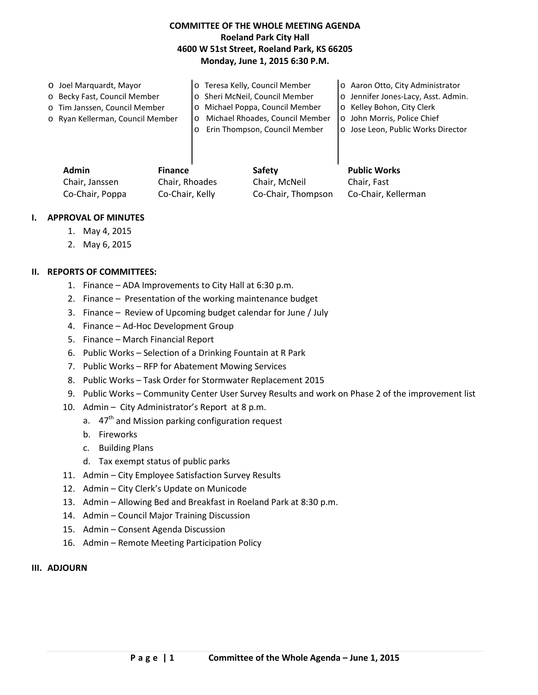## **COMMITTEE OF THE WHOLE MEETING AGENDA Roeland Park City Hall 4600 W 51st Street, Roeland Park, KS 66205 Monday, June 1, 2015 6:30 P.M.**

| O Joel Marquardt, Mayor          | o Teresa Kelly, Council Member             | o Aaron Otto, City Administrator    |
|----------------------------------|--------------------------------------------|-------------------------------------|
| o Becky Fast, Council Member     | o Sheri McNeil, Council Member             | o Jennifer Jones-Lacy, Asst. Admin. |
| o Tim Janssen, Council Member    | Michael Poppa, Council Member<br>$\circ$   | o Kelley Bohon, City Clerk          |
| o Ryan Kellerman, Council Member | Michael Rhoades, Council Member<br>$\circ$ | o John Morris, Police Chief         |
|                                  | Erin Thompson, Council Member              | o Jose Leon, Public Works Director  |
|                                  |                                            |                                     |
|                                  |                                            |                                     |
|                                  |                                            |                                     |

| <b>Admin</b>    | <b>Finance</b>  | Safety             | <b>Public Works</b> |
|-----------------|-----------------|--------------------|---------------------|
| Chair, Janssen  | Chair, Rhoades  | Chair, McNeil      | Chair, Fast         |
| Co-Chair, Poppa | Co-Chair, Kelly | Co-Chair, Thompson | Co-Chair, Kellerman |

#### **I. APPROVAL OF MINUTES**

- 1. May 4, 2015
- 2. May 6, 2015

### **II. REPORTS OF COMMITTEES:**

- 1. Finance ADA Improvements to City Hall at 6:30 p.m.
- 2. Finance Presentation of the working maintenance budget
- 3. Finance Review of Upcoming budget calendar for June / July
- 4. Finance Ad-Hoc Development Group
- 5. Finance March Financial Report
- 6. Public Works Selection of a Drinking Fountain at R Park
- 7. Public Works RFP for Abatement Mowing Services
- 8. Public Works Task Order for Stormwater Replacement 2015
- 9. Public Works Community Center User Survey Results and work on Phase 2 of the improvement list
- 10. Admin City Administrator's Report at 8 p.m.
	- a. 47<sup>th</sup> and Mission parking configuration request
	- b. Fireworks
	- c. Building Plans
	- d. Tax exempt status of public parks
- 11. Admin City Employee Satisfaction Survey Results
- 12. Admin City Clerk's Update on Municode
- 13. Admin Allowing Bed and Breakfast in Roeland Park at 8:30 p.m.
- 14. Admin Council Major Training Discussion
- 15. Admin Consent Agenda Discussion
- 16. Admin Remote Meeting Participation Policy

#### **III. ADJOURN**